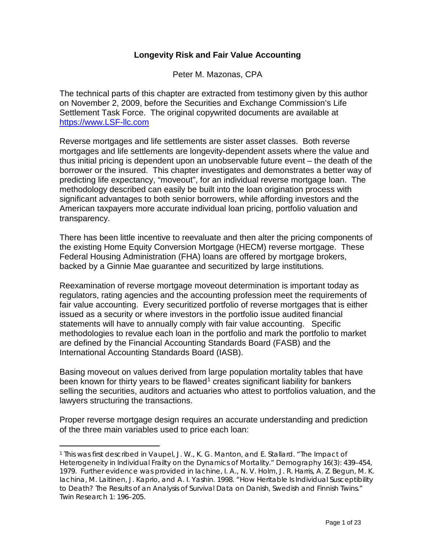# **Longevity Risk and Fair Value Accounting**

Peter M. Mazonas, CPA

The technical parts of this chapter are extracted from testimony given by this author on November 2, 2009, before the Securities and Exchange Commission's Life Settlement Task Force. The original copywrited documents are available at [https://www.LSF-llc.com](https://www.lsf-llc.com/)

Reverse mortgages and life settlements are sister asset classes. Both reverse mortgages and life settlements are longevity-dependent assets where the value and thus initial pricing is dependent upon an unobservable future event – the death of the borrower or the insured. This chapter investigates and demonstrates a better way of predicting life expectancy, "moveout", for an individual reverse mortgage loan. The methodology described can easily be built into the loan origination process with significant advantages to both senior borrowers, while affording investors and the American taxpayers more accurate individual loan pricing, portfolio valuation and transparency.

There has been little incentive to reevaluate and then alter the pricing components of the existing Home Equity Conversion Mortgage (HECM) reverse mortgage. These Federal Housing Administration (FHA) loans are offered by mortgage brokers, backed by a Ginnie Mae guarantee and securitized by large institutions.

Reexamination of reverse mortgage moveout determination is important today as regulators, rating agencies and the accounting profession meet the requirements of fair value accounting. Every securitized portfolio of reverse mortgages that is either issued as a security or where investors in the portfolio issue audited financial statements will have to annually comply with fair value accounting. Specific methodologies to revalue each loan in the portfolio and mark the portfolio to market are defined by the Financial Accounting Standards Board (FASB) and the International Accounting Standards Board (IASB).

Basing moveout on values derived from large population mortality tables that have been known for thirty years to be flawed<sup>[1](#page-0-0)</sup> creates significant liability for bankers selling the securities, auditors and actuaries who attest to portfolios valuation, and the lawyers structuring the transactions.

Proper reverse mortgage design requires an accurate understanding and prediction of the three main variables used to price each loan:

<span id="page-0-0"></span> <sup>1</sup> *This was first described in* Vaupel, J. W., K. G. Manton, and E. Stallard. "The Impact of Heterogeneity in Individual Frailty on the Dynamics of Mortality." *Demography* 16(3): 439–454, 1979. *Further evidence was provided in* Iachine, I. A., N. V. Holm, J. R. Harris, A. Z. Begun, M. K. Iachina, M. Laitinen, J. Kaprio, and A. I. Yashin. 1998. "How Heritable Is Individual Susceptibility to Death? The Results of an Analysis of Survival Data on Danish, Swedish and Finnish Twins." *Twin Research* 1: 196–205.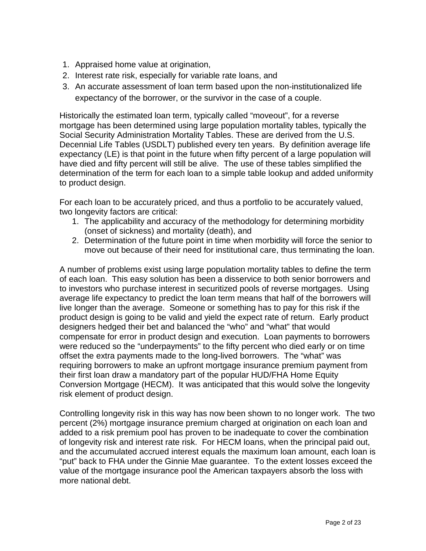- 1. Appraised home value at origination,
- 2. Interest rate risk, especially for variable rate loans, and
- 3. An accurate assessment of loan term based upon the non-institutionalized life expectancy of the borrower, or the survivor in the case of a couple.

Historically the estimated loan term, typically called "moveout", for a reverse mortgage has been determined using large population mortality tables, typically the Social Security Administration Mortality Tables. These are derived from the U.S. Decennial Life Tables (USDLT) published every ten years. By definition average life expectancy (LE) is that point in the future when fifty percent of a large population will have died and fifty percent will still be alive. The use of these tables simplified the determination of the term for each loan to a simple table lookup and added uniformity to product design.

For each loan to be accurately priced, and thus a portfolio to be accurately valued, two longevity factors are critical:

- 1. The applicability and accuracy of the methodology for determining morbidity (onset of sickness) and mortality (death), and
- 2. Determination of the future point in time when morbidity will force the senior to move out because of their need for institutional care, thus terminating the loan.

A number of problems exist using large population mortality tables to define the term of each loan. This easy solution has been a disservice to both senior borrowers and to investors who purchase interest in securitized pools of reverse mortgages. Using average life expectancy to predict the loan term means that half of the borrowers will live longer than the average. Someone or something has to pay for this risk if the product design is going to be valid and yield the expect rate of return. Early product designers hedged their bet and balanced the "who" and "what" that would compensate for error in product design and execution. Loan payments to borrowers were reduced so the "underpayments" to the fifty percent who died early or on time offset the extra payments made to the long-lived borrowers. The "what" was requiring borrowers to make an upfront mortgage insurance premium payment from their first loan draw a mandatory part of the popular HUD/FHA Home Equity Conversion Mortgage (HECM). It was anticipated that this would solve the longevity risk element of product design.

Controlling longevity risk in this way has now been shown to no longer work. The two percent (2%) mortgage insurance premium charged at origination on each loan and added to a risk premium pool has proven to be inadequate to cover the combination of longevity risk and interest rate risk. For HECM loans, when the principal paid out, and the accumulated accrued interest equals the maximum loan amount, each loan is "put" back to FHA under the Ginnie Mae guarantee. To the extent losses exceed the value of the mortgage insurance pool the American taxpayers absorb the loss with more national debt.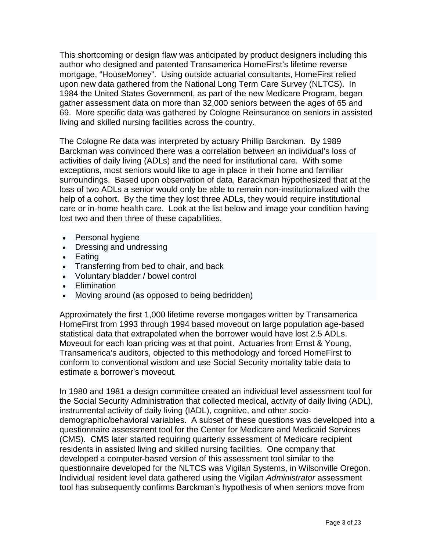This shortcoming or design flaw was anticipated by product designers including this author who designed and patented Transamerica HomeFirst's lifetime reverse mortgage, "HouseMoney". Using outside actuarial consultants, HomeFirst relied upon new data gathered from the National Long Term Care Survey (NLTCS). In 1984 the United States Government, as part of the new Medicare Program, began gather assessment data on more than 32,000 seniors between the ages of 65 and 69. More specific data was gathered by Cologne Reinsurance on seniors in assisted living and skilled nursing facilities across the country.

The Cologne Re data was interpreted by actuary Phillip Barckman. By 1989 Barckman was convinced there was a correlation between an individual's loss of activities of daily living (ADLs) and the need for institutional care. With some exceptions, most seniors would like to age in place in their home and familiar surroundings. Based upon observation of data, Barackman hypothesized that at the loss of two ADLs a senior would only be able to remain non-institutionalized with the help of a cohort. By the time they lost three ADLs, they would require institutional care or in-home health care. Look at the list below and image your condition having lost two and then three of these capabilities.

- Personal hygiene
- Dressing and undressing
- Eating
- Transferring from bed to chair, and back
- Voluntary bladder / bowel control
- Elimination
- Moving around (as opposed to being bedridden)

Approximately the first 1,000 lifetime reverse mortgages written by Transamerica HomeFirst from 1993 through 1994 based moveout on large population age-based statistical data that extrapolated when the borrower would have lost 2.5 ADLs. Moveout for each loan pricing was at that point. Actuaries from Ernst & Young, Transamerica's auditors, objected to this methodology and forced HomeFirst to conform to conventional wisdom and use Social Security mortality table data to estimate a borrower's moveout.

In 1980 and 1981 a design committee created an individual level assessment tool for the Social Security Administration that collected medical, activity of daily living (ADL), instrumental activity of daily living (IADL), cognitive, and other sociodemographic/behavioral variables. A subset of these questions was developed into a questionnaire assessment tool for the Center for Medicare and Medicaid Services (CMS). CMS later started requiring quarterly assessment of Medicare recipient residents in assisted living and skilled nursing facilities. One company that developed a computer-based version of this assessment tool similar to the questionnaire developed for the NLTCS was Vigilan Systems, in Wilsonville Oregon. Individual resident level data gathered using the Vigilan *Administrator* assessment tool has subsequently confirms Barckman's hypothesis of when seniors move from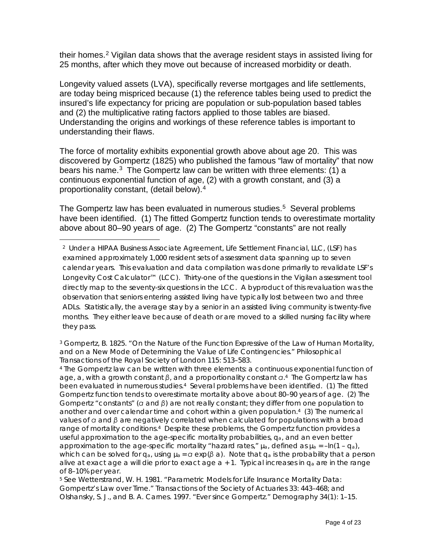their homes.[2](#page-3-0) Vigilan data shows that the average resident stays in assisted living for 25 months, after which they move out because of increased morbidity or death.

Longevity valued assets (LVA), specifically reverse mortgages and life settlements, are today being mispriced because (1) the reference tables being used to predict the insured's life expectancy for pricing are population or sub-population based tables and (2) the multiplicative rating factors applied to those tables are biased. Understanding the origins and workings of these reference tables is important to understanding their flaws.

The force of mortality exhibits exponential growth above about age 20. This was discovered by Gompertz (1825) who published the famous "law of mortality" that now bears his name. $3$  The Gompertz law can be written with three elements: (1) a continuous exponential function of age, (2) with a growth constant, and (3) a proportionality constant, (detail below).[4](#page-3-2)

The Gompertz law has been evaluated in numerous studies.<sup>5</sup> Several problems have been identified. (1) The fitted Gompertz function tends to overestimate mortality above about 80–90 years of age. (2) The Gompertz "constants" are not really

<span id="page-3-2"></span><sup>4</sup> The Gompertz law can be written with three elements: a continuous exponential function of age, *a*, with a growth constant *β*, and a proportionality constant *α*.4 The Gompertz law has been evaluated in numerous studies.<sup>4</sup> Several problems have been identified. (1) The fitted Gompertz function tends to overestimate mortality above about 80–90 years of age. (2) The Gompertz "constants" (*α* and *β*) are not really constant; they differ from one population to another and over calendar time and cohort within a given population.4 (3) The numerical values of *α* and *β* are negatively correlated when calculated for populations with a broad range of mortality conditions.<sup>4</sup> Despite these problems, the Gompertz function provides a useful approximation to the age-specific mortality probabilities, *qa*, and an even better approximation to the age-specific mortality "hazard rates,"  $\mu_a$ , defined as  $\mu_a = -\ln(1 - q_a)$ , which can be solved for *qa*, using *µa* = *α* exp(*β a*). Note that *qa* is the probability that a person alive at exact age *a* will die prior to exact age *a* + 1. Typical increases in *qa* are in the range of 8–10% per year.

<span id="page-3-3"></span><sup>5</sup> *See* Wetterstrand, W. H. 1981. "Parametric Models for Life Insurance Mortality Data: Gompertz's Law over Time." Transactions of the Society of Actuaries 33: 443–468; *and* Olshansky, S. J., and B. A. Carnes. 1997. "Ever since Gompertz." Demography 34(1): 1–15.

<span id="page-3-0"></span> <sup>2</sup> Under a HIPAA Business Associate Agreement, Life Settlement Financial, LLC, (LSF) has examined approximately 1,000 resident sets of assessment data spanning up to seven calendar years. This evaluation and data compilation was done primarily to revalidate LSF's Longevity Cost Calculator™ (LCC). Thirty-one of the questions in the Vigilan assessment tool directly map to the seventy-six questions in the LCC. A byproduct of this revaluation was the observation that seniors entering assisted living have typically lost between two and three ADLs. Statistically, the average stay by a senior in an assisted living community is twenty-five months. They either leave because of death or are moved to a skilled nursing facility where they pass.

<span id="page-3-1"></span> $3$  Gompertz, B. 1825. "On the Nature of the Function Expressive of the Law of Human Mortality, and on a New Mode of Determining the Value of Life Contingencies." Philosophical Transactions of the Royal Society of London 115: 513–583.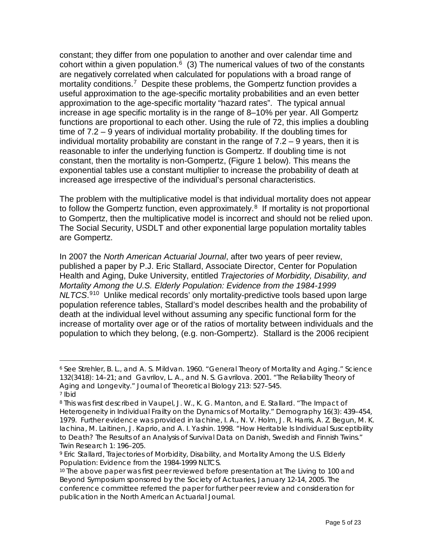constant; they differ from one population to another and over calendar time and cohort within a given population. $6$  (3) The numerical values of two of the constants are negatively correlated when calculated for populations with a broad range of mortality conditions.<sup>7</sup> Despite these problems, the Gompertz function provides a useful approximation to the age-specific mortality probabilities and an even better approximation to the age-specific mortality "hazard rates". The typical annual increase in age specific mortality is in the range of 8–10% per year. All Gompertz functions are proportional to each other. Using the rule of 72, this implies a doubling time of 7.2 – 9 years of individual mortality probability. If the doubling times for individual mortality probability are constant in the range of  $7.2 - 9$  years, then it is reasonable to infer the underlying function is Gompertz. If doubling time is not constant, then the mortality is non-Gompertz, (Figure 1 below). This means the exponential tables use a constant multiplier to increase the probability of death at increased age irrespective of the individual's personal characteristics.

The problem with the multiplicative model is that individual mortality does not appear to follow the Gompertz function, even approximately. $8\,$  $8\,$  If mortality is not proportional to Gompertz, then the multiplicative model is incorrect and should not be relied upon. The Social Security, USDLT and other exponential large population mortality tables are Gompertz.

In 2007 the *North American Actuarial Journal*, after two years of peer review, published a paper by P.J. Eric Stallard, Associate Director, Center for Population Health and Aging, Duke University, entitled *Trajectories of Morbidity, Disability, and Mortality Among the U.S. Elderly Population: Evidence from the 1984-1999 NLTCS*. [9](#page-4-3)[10](#page-4-4) Unlike medical records' only mortality-predictive tools based upon large population reference tables, Stallard's model describes health and the probability of death at the individual level without assuming any specific functional form for the increase of mortality over age or of the ratios of mortality between individuals and the population to which they belong, (e.g. non-Gompertz). Stallard is the 2006 recipient

<span id="page-4-0"></span> <sup>6</sup> *See* Strehler, B. L., and A. S. Mildvan. 1960. "General Theory of Mortality and Aging." Science 132(3418): 14–21; *and* Gavrilov, L. A., and N. S. Gavrilova. 2001. "The Reliability Theory of Aging and Longevity." Journal of Theoretical Biology 213: 527–545. <sup>7</sup> Ibid

<span id="page-4-2"></span><span id="page-4-1"></span><sup>8</sup> *This was first described in* Vaupel, J. W., K. G. Manton, and E. Stallard. "The Impact of Heterogeneity in Individual Frailty on the Dynamics of Mortality." *Demography* 16(3): 439–454, 1979. *Further evidence was provided in* Iachine, I. A., N. V. Holm, J. R. Harris, A. Z. Begun, M. K. Iachina, M. Laitinen, J. Kaprio, and A. I. Yashin. 1998. "How Heritable Is Individual Susceptibility to Death? The Results of an Analysis of Survival Data on Danish, Swedish and Finnish Twins." *Twin Research* 1: 196–205.

<span id="page-4-3"></span><sup>9</sup> Eric Stallard, *Trajectories of Morbidity, Disability, and Mortality Among the U.S. Elderly Population: Evidence from the 1984-1999 NLTCS*.

<span id="page-4-4"></span><sup>10</sup> The above paper was first peer reviewed before presentation at *The Living to 100 and Beyond Symposium* sponsored by the Society of Actuaries, January 12-14, 2005. The conference committee referred the paper for further peer review and consideration for publication in the *North American Actuarial Journal*.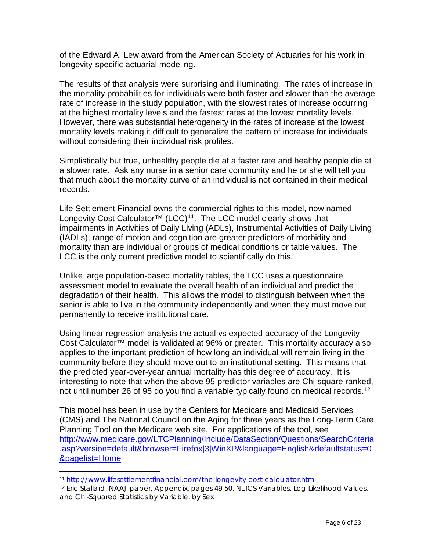of the Edward A. Lew award from the American Society of Actuaries for his work in longevity-specific actuarial modeling.

The results of that analysis were surprising and illuminating. The rates of increase in the mortality probabilities for individuals were both faster and slower than the average rate of increase in the study population, with the slowest rates of increase occurring at the highest mortality levels and the fastest rates at the lowest mortality levels. However, there was substantial heterogeneity in the rates of increase at the lowest mortality levels making it difficult to generalize the pattern of increase for individuals without considering their individual risk profiles.

Simplistically but true, unhealthy people die at a faster rate and healthy people die at a slower rate. Ask any nurse in a senior care community and he or she will tell you that much about the mortality curve of an individual is not contained in their medical records.

Life Settlement Financial owns the commercial rights to this model, now named Longevity Cost Calculator<sup>™</sup> (LCC)<sup>[11](#page-5-0)</sup>. The LCC model clearly shows that impairments in Activities of Daily Living (ADLs), Instrumental Activities of Daily Living (IADLs), range of motion and cognition are greater predictors of morbidity and mortality than are individual or groups of medical conditions or table values. The LCC is the only current predictive model to scientifically do this.

Unlike large population-based mortality tables, the LCC uses a questionnaire assessment model to evaluate the overall health of an individual and predict the degradation of their health. This allows the model to distinguish between when the senior is able to live in the community independently and when they must move out permanently to receive institutional care.

Using linear regression analysis the actual vs expected accuracy of the Longevity Cost Calculator™ model is validated at 96% or greater. This mortality accuracy also applies to the important prediction of how long an individual will remain living in the community before they should move out to an institutional setting. This means that the predicted year-over-year annual mortality has this degree of accuracy. It is interesting to note that when the above 95 predictor variables are Chi-square ranked, not until number 26 of 95 do you find a variable typically found on medical records.<sup>12</sup>

This model has been in use by the Centers for Medicare and Medicaid Services (CMS) and The National Council on the Aging for three years as the Long-Term Care Planning Tool on the Medicare web site. For applications of the tool, see [http://www.medicare.gov/LTCPlanning/Include/DataSection/Questions/SearchCriteria](http://www.medicare.gov/LTCPlanning/Include/DataSection/Questions/SearchCriteria.asp?version=default&browser=Firefox|3|WinXP&language=English&defaultstatus=0&pagelist=Home) [.asp?version=default&browser=Firefox|3|WinXP&language=English&defaultstatus=0](http://www.medicare.gov/LTCPlanning/Include/DataSection/Questions/SearchCriteria.asp?version=default&browser=Firefox|3|WinXP&language=English&defaultstatus=0&pagelist=Home) [&pagelist=Home](http://www.medicare.gov/LTCPlanning/Include/DataSection/Questions/SearchCriteria.asp?version=default&browser=Firefox|3|WinXP&language=English&defaultstatus=0&pagelist=Home) 

<span id="page-5-0"></span> <sup>11</sup> <http://www.lifesettlementfinancial.com/the-longevity-cost-calculator.html>

<span id="page-5-1"></span><sup>12</sup> Eric Stallard, NAAJ paper, Appendix, pages 49-50, NLTCS Variables, Log-Likelihood Values, and Chi-Squared Statistics by Variable, by Sex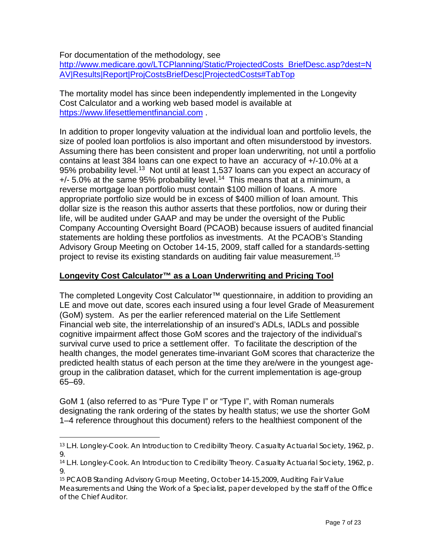For documentation of the methodology, see

[http://www.medicare.gov/LTCPlanning/Static/ProjectedCosts\\_BriefDesc.asp?dest=N](http://www.medicare.gov/LTCPlanning/Static/ProjectedCosts_BriefDesc.asp?dest=NAV|Results|Report|ProjCostsBriefDesc|ProjectedCosts#TabTop) [AV|Results|Report|ProjCostsBriefDesc|ProjectedCosts#TabTop](http://www.medicare.gov/LTCPlanning/Static/ProjectedCosts_BriefDesc.asp?dest=NAV|Results|Report|ProjCostsBriefDesc|ProjectedCosts#TabTop) 

The mortality model has since been independently implemented in the Longevity Cost Calculator and a working web based model is available at [https://www.lifesettlementfinancial.com](https://www.lifesettlementfinancial.com/) .

In addition to proper longevity valuation at the individual loan and portfolio levels, the size of pooled loan portfolios is also important and often misunderstood by investors. Assuming there has been consistent and proper loan underwriting, not until a portfolio contains at least 384 loans can one expect to have an accuracy of +/-10.0% at a 95% probability level.<sup>[13](#page-6-0)</sup> Not until at least 1,537 loans can you expect an accuracy of  $+/-$  5.0% at the same 95% probability level.<sup>[14](#page-6-1)</sup> This means that at a minimum, a reverse mortgage loan portfolio must contain \$100 million of loans. A more appropriate portfolio size would be in excess of \$400 million of loan amount. This dollar size is the reason this author asserts that these portfolios, now or during their life, will be audited under GAAP and may be under the oversight of the Public Company Accounting Oversight Board (PCAOB) because issuers of audited financial statements are holding these portfolios as investments. At the PCAOB's Standing Advisory Group Meeting on October 14-15, 2009, staff called for a standards-setting project to revise its existing standards on auditing fair value measurement.<sup>[15](#page-6-2)</sup>

## **Longevity Cost Calculator™ as a Loan Underwriting and Pricing Tool**

The completed Longevity Cost Calculator™ questionnaire, in addition to providing an LE and move out date, scores each insured using a four level Grade of Measurement (GoM) system. As per the earlier referenced material on the Life Settlement Financial web site, the interrelationship of an insured's ADLs, IADLs and possible cognitive impairment affect those GoM scores and the trajectory of the individual's survival curve used to price a settlement offer. To facilitate the description of the health changes, the model generates time-invariant GoM scores that characterize the predicted health status of each person at the time they are/were in the youngest agegroup in the calibration dataset, which for the current implementation is age-group 65–69.

GoM 1 (also referred to as "Pure Type I" or "Type I", with Roman numerals designating the rank ordering of the states by health status; we use the shorter GoM 1–4 reference throughout this document) refers to the healthiest component of the

<span id="page-6-0"></span> <sup>13</sup> L.H. Longley-Cook. *An Introduction to Credibility Theory*. Casualty Actuarial Society, 1962, p. 9.

<span id="page-6-1"></span><sup>14</sup> L.H. Longley-Cook. *An Introduction to Credibility Theory*. Casualty Actuarial Society, 1962, p. 9.

<span id="page-6-2"></span><sup>15</sup> PCAOB Standing Advisory Group Meeting, October 14-15,2009, Auditing Fair Value Measurements and Using the Work of a Specialist, paper developed by the staff of the Office of the Chief Auditor.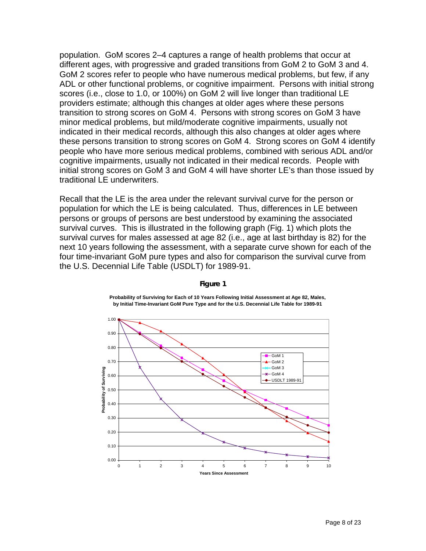population. GoM scores 2–4 captures a range of health problems that occur at different ages, with progressive and graded transitions from GoM 2 to GoM 3 and 4. GoM 2 scores refer to people who have numerous medical problems, but few, if any ADL or other functional problems, or cognitive impairment. Persons with initial strong scores (i.e., close to 1.0, or 100%) on GoM 2 will live longer than traditional LE providers estimate; although this changes at older ages where these persons transition to strong scores on GoM 4. Persons with strong scores on GoM 3 have minor medical problems, but mild/moderate cognitive impairments, usually not indicated in their medical records, although this also changes at older ages where these persons transition to strong scores on GoM 4. Strong scores on GoM 4 identify people who have more serious medical problems, combined with serious ADL and/or cognitive impairments, usually not indicated in their medical records. People with initial strong scores on GoM 3 and GoM 4 will have shorter LE's than those issued by traditional LE underwriters.

Recall that the LE is the area under the relevant survival curve for the person or population for which the LE is being calculated. Thus, differences in LE between persons or groups of persons are best understood by examining the associated survival curves. This is illustrated in the following graph (Fig. 1) which plots the survival curves for males assessed at age 82 (i.e., age at last birthday is 82) for the next 10 years following the assessment, with a separate curve shown for each of the four time-invariant GoM pure types and also for comparison the survival curve from the U.S. Decennial Life Table (USDLT) for 1989-91.



#### **Figure 1**

**Probability of Surviving for Each of 10 Years Following Initial Assessment at Age 82, Males, by Initial Time-Invariant GoM Pure Type and for the U.S. Decennial Life Table for 1989-91**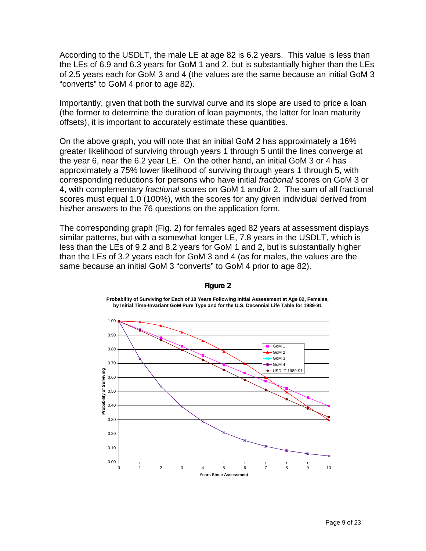According to the USDLT, the male LE at age 82 is 6.2 years. This value is less than the LEs of 6.9 and 6.3 years for GoM 1 and 2, but is substantially higher than the LEs of 2.5 years each for GoM 3 and 4 (the values are the same because an initial GoM 3 "converts" to GoM 4 prior to age 82).

Importantly, given that both the survival curve and its slope are used to price a loan (the former to determine the duration of loan payments, the latter for loan maturity offsets), it is important to accurately estimate these quantities.

On the above graph, you will note that an initial GoM 2 has approximately a 16% greater likelihood of surviving through years 1 through 5 until the lines converge at the year 6, near the 6.2 year LE. On the other hand, an initial GoM 3 or 4 has approximately a 75% lower likelihood of surviving through years 1 through 5, with corresponding reductions for persons who have initial *fractional* scores on GoM 3 or 4, with complementary *fractional* scores on GoM 1 and/or 2. The sum of all fractional scores must equal 1.0 (100%), with the scores for any given individual derived from his/her answers to the 76 questions on the application form.

The corresponding graph (Fig. 2) for females aged 82 years at assessment displays similar patterns, but with a somewhat longer LE, 7.8 years in the USDLT, which is less than the LEs of 9.2 and 8.2 years for GoM 1 and 2, but is substantially higher than the LEs of 3.2 years each for GoM 3 and 4 (as for males, the values are the same because an initial GoM 3 "converts" to GoM 4 prior to age 82).



#### **Figure 2**

**Probability of Surviving for Each of 10 Years Following Initial Assessment at Age 82, Females, by Initial Time-Invariant GoM Pure Type and for the U.S. Decennial Life Table for 1989-91**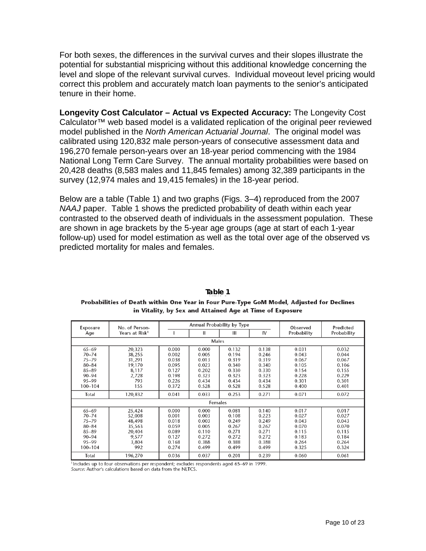For both sexes, the differences in the survival curves and their slopes illustrate the potential for substantial mispricing without this additional knowledge concerning the level and slope of the relevant survival curves. Individual moveout level pricing would correct this problem and accurately match loan payments to the senior's anticipated tenure in their home.

**Longevity Cost Calculator – Actual vs Expected Accuracy:** The Longevity Cost Calculator™ web based model is a validated replication of the original peer reviewed model published in the *North American Actuarial Journal*. The original model was calibrated using 120,832 male person-years of consecutive assessment data and 196,270 female person-years over an 18-year period commencing with the 1984 National Long Term Care Survey. The annual mortality probabilities were based on 20,428 deaths (8,583 males and 11,845 females) among 32,389 participants in the survey (12,974 males and 19,415 females) in the 18-year period.

Below are a table (Table 1) and two graphs (Figs. 3–4) reproduced from the 2007 *NAAJ* paper. Table 1 shows the predicted probability of death within each year contrasted to the observed death of individuals in the assessment population. These are shown in age brackets by the 5-year age groups (age at start of each 1-year follow-up) used for model estimation as well as the total over age of the observed vs predicted mortality for males and females.

| Exposure  | No. of Person-<br>Years at Risk <sup>1</sup> | Annual Probability by Type |         |       |       | Observed    | Predicted   |  |  |  |
|-----------|----------------------------------------------|----------------------------|---------|-------|-------|-------------|-------------|--|--|--|
| Age       |                                              |                            | Ш       | Ш     | IV    | Probability | Probability |  |  |  |
|           | Males                                        |                            |         |       |       |             |             |  |  |  |
| $65 - 69$ | 20,323                                       | 0.000                      | 0.000   | 0.132 | 0.138 | 0.031       | 0.032       |  |  |  |
| $70 - 74$ | 38,255                                       | 0.002                      | 0.005   | 0.194 | 0.246 | 0.043       | 0.044       |  |  |  |
| $75 - 79$ | 31,291                                       | 0.038                      | 0.013   | 0.319 | 0.319 | 0.067       | 0.067       |  |  |  |
| $80 - 84$ | 19,170                                       | 0.095                      | 0.023   | 0.340 | 0.340 | 0.105       | 0.106       |  |  |  |
| $85 - 89$ | 8,117                                        | 0.127                      | 0.202   | 0.330 | 0.330 | 0.154       | 0.155       |  |  |  |
| $90 - 94$ | 2,728                                        | 0.198                      | 0.323   | 0.323 | 0.323 | 0.228       | 0.229       |  |  |  |
| $95 - 99$ | 793                                          | 0.226                      | 0.434   | 0.434 | 0.434 | 0.301       | 0.301       |  |  |  |
| 100-104   | 155                                          | 0.372                      | 0.528   | 0.528 | 0.528 | 0.400       | 0.401       |  |  |  |
| Total     | 120,832                                      | 0.041                      | 0.033   | 0.253 | 0.271 | 0.071       | 0.072       |  |  |  |
|           |                                              |                            | Females |       |       |             |             |  |  |  |
| $65 - 69$ | 25,424                                       | 0.000                      | 0.000   | 0.081 | 0.140 | 0.017       | 0.017       |  |  |  |
| $70 - 74$ | 52,008                                       | 0.001                      | 0.003   | 0.108 | 0.223 | 0.027       | 0.027       |  |  |  |
| $75 - 79$ | 48,498                                       | 0.018                      | 0.003   | 0.249 | 0.249 | 0.043       | 0.043       |  |  |  |
| $80 - 84$ | 35,563                                       | 0.059                      | 0.005   | 0.267 | 0.267 | 0.070       | 0.070       |  |  |  |
| $85 - 89$ | 20,404                                       | 0.089                      | 0.110   | 0.271 | 0.271 | 0.115       | 0.115       |  |  |  |
| $90 - 94$ | 9,577                                        | 0.127                      | 0.272   | 0.272 | 0.272 | 0.183       | 0.184       |  |  |  |
| $95 - 99$ | 3,804                                        | 0.168                      | 0.388   | 0.388 | 0.388 | 0.264       | 0.264       |  |  |  |
| 100-104   | 992                                          | 0.274                      | 0.499   | 0.499 | 0.499 | 0.325       | 0.324       |  |  |  |
| Total     | 196,270                                      | 0.036                      | 0.037   | 0.201 | 0.239 | 0.060       | 0.061       |  |  |  |

**Table 1**Probabilities of Death within One Year in Four Pure-Type GoM Model, Adjusted for Declines in Vitality, by Sex and Attained Age at Time of Exposure

Includes up to four observations per respondent; excludes respondents aged 65–69 in 1999.

Source: Author's calculations based on data from the NLTCS.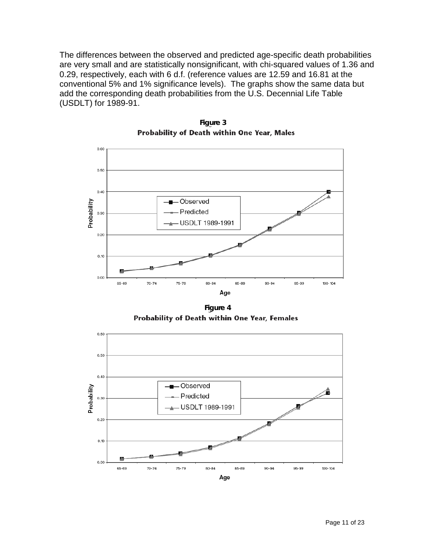The differences between the observed and predicted age-specific death probabilities are very small and are statistically nonsignificant, with chi-squared values of 1.36 and 0.29, respectively, each with 6 d.f. (reference values are 12.59 and 16.81 at the conventional 5% and 1% significance levels). The graphs show the same data but add the corresponding death probabilities from the U.S. Decennial Life Table (USDLT) for 1989-91.



**Figure 3** Probability of Death within One Year, Males

**Figure 4**Probability of Death within One Year, Females

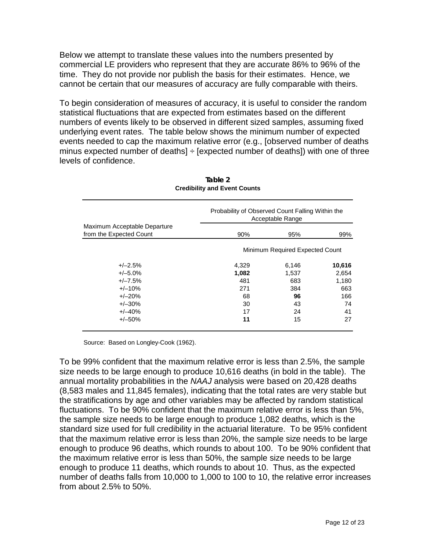Below we attempt to translate these values into the numbers presented by commercial LE providers who represent that they are accurate 86% to 96% of the time. They do not provide nor publish the basis for their estimates. Hence, we cannot be certain that our measures of accuracy are fully comparable with theirs.

To begin consideration of measures of accuracy, it is useful to consider the random statistical fluctuations that are expected from estimates based on the different numbers of events likely to be observed in different sized samples, assuming fixed underlying event rates. The table below shows the minimum number of expected events needed to cap the maximum relative error (e.g., [observed number of deaths minus expected number of deaths]  $\div$  [expected number of deaths]) with one of three levels of confidence.

|                                                         | Probability of Observed Count Falling Within the<br>Acceptable Range |       |        |  |  |  |
|---------------------------------------------------------|----------------------------------------------------------------------|-------|--------|--|--|--|
| Maximum Acceptable Departure<br>from the Expected Count | 90%                                                                  | 95%   | 99%    |  |  |  |
|                                                         | Minimum Required Expected Count                                      |       |        |  |  |  |
| $+/-2.5%$                                               | 4,329                                                                | 6,146 | 10,616 |  |  |  |
| $+/-5.0%$                                               | 1,082                                                                | 1,537 | 2,654  |  |  |  |
| $+/-7.5%$                                               | 481                                                                  | 683   | 1,180  |  |  |  |
| $+/-10%$                                                | 271                                                                  | 384   | 663    |  |  |  |
| $+/-20%$                                                | 68                                                                   | 96    | 166    |  |  |  |
| $+/-30%$                                                | 30                                                                   | 43    | 74     |  |  |  |
| $+/-40%$                                                | 17                                                                   | 24    | 41     |  |  |  |
| $+/-50%$                                                | 11                                                                   | 15    | 27     |  |  |  |

#### **Table 2 Credibility and Event Counts**

Source: Based on Longley-Cook (1962).

To be 99% confident that the maximum relative error is less than 2.5%, the sample size needs to be large enough to produce 10,616 deaths (in bold in the table). The annual mortality probabilities in the *NAAJ* analysis were based on 20,428 deaths (8,583 males and 11,845 females), indicating that the total rates are very stable but the stratifications by age and other variables may be affected by random statistical fluctuations. To be 90% confident that the maximum relative error is less than 5%, the sample size needs to be large enough to produce 1,082 deaths, which is the standard size used for full credibility in the actuarial literature. To be 95% confident that the maximum relative error is less than 20%, the sample size needs to be large enough to produce 96 deaths, which rounds to about 100. To be 90% confident that the maximum relative error is less than 50%, the sample size needs to be large enough to produce 11 deaths, which rounds to about 10. Thus, as the expected number of deaths falls from 10,000 to 1,000 to 100 to 10, the relative error increases from about 2.5% to 50%.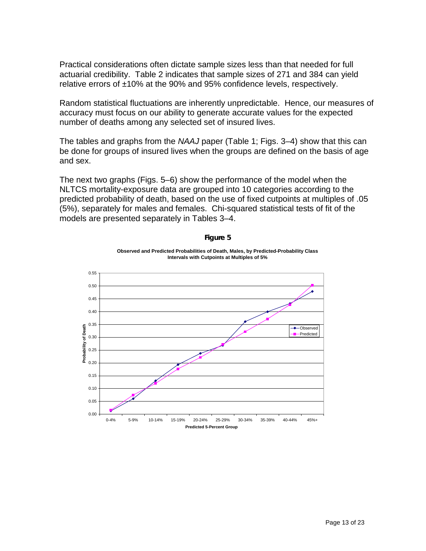Practical considerations often dictate sample sizes less than that needed for full actuarial credibility. Table 2 indicates that sample sizes of 271 and 384 can yield relative errors of ±10% at the 90% and 95% confidence levels, respectively.

Random statistical fluctuations are inherently unpredictable. Hence, our measures of accuracy must focus on our ability to generate accurate values for the expected number of deaths among any selected set of insured lives.

The tables and graphs from the *NAAJ* paper (Table 1; Figs. 3–4) show that this can be done for groups of insured lives when the groups are defined on the basis of age and sex.

The next two graphs (Figs. 5–6) show the performance of the model when the NLTCS mortality-exposure data are grouped into 10 categories according to the predicted probability of death, based on the use of fixed cutpoints at multiples of .05 (5%), separately for males and females. Chi-squared statistical tests of fit of the models are presented separately in Tables 3–4.



**Figure 5**

**Observed and Predicted Probabilities of Death, Males, by Predicted-Probability Class**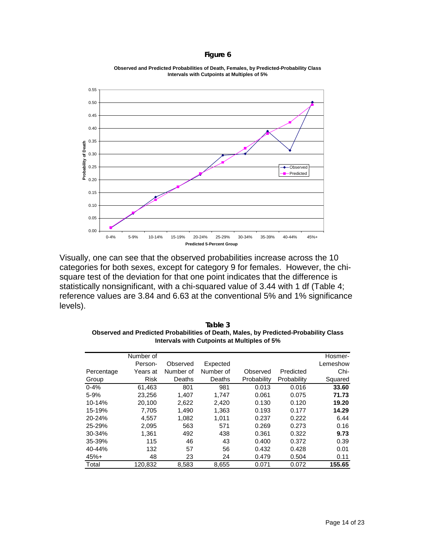#### **Figure 6**



**Observed and Predicted Probabilities of Death, Females, by Predicted-Probability Class Intervals with Cutpoints at Multiples of 5%**

Visually, one can see that the observed probabilities increase across the 10 categories for both sexes, except for category 9 for females. However, the chisquare test of the deviation for that one point indicates that the difference is statistically nonsignificant, with a chi-squared value of 3.44 with 1 df (Table 4; reference values are 3.84 and 6.63 at the conventional 5% and 1% significance levels).

|            | Number of   |           |           |             |             | Hosmer-  |
|------------|-------------|-----------|-----------|-------------|-------------|----------|
|            | Person-     | Observed  | Expected  |             |             | Lemeshow |
| Percentage | Years at    | Number of | Number of | Observed    | Predicted   | Chi-     |
| Group      | <b>Risk</b> | Deaths    | Deaths    | Probability | Probability | Squared  |
| $0 - 4%$   | 61,463      | 801       | 981       | 0.013       | 0.016       | 33.60    |
| 5-9%       | 23,256      | 1.407     | 1.747     | 0.061       | 0.075       | 71.73    |
| 10-14%     | 20,100      | 2.622     | 2.420     | 0.130       | 0.120       | 19.20    |
| 15-19%     | 7.705       | 1.490     | 1.363     | 0.193       | 0.177       | 14.29    |
| 20-24%     | 4,557       | 1,082     | 1,011     | 0.237       | 0.222       | 6.44     |
| 25-29%     | 2.095       | 563       | 571       | 0.269       | 0.273       | 0.16     |
| 30-34%     | 1,361       | 492       | 438       | 0.361       | 0.322       | 9.73     |
| 35-39%     | 115         | 46        | 43        | 0.400       | 0.372       | 0.39     |
| 40-44%     | 132         | 57        | 56        | 0.432       | 0.428       | 0.01     |
| $45%+$     | 48          | 23        | 24        | 0.479       | 0.504       | 0.11     |
| Total      | 120.832     | 8,583     | 8,655     | 0.071       | 0.072       | 155.65   |

**Table 3 Observed and Predicted Probabilities of Death, Males, by Predicted-Probability Class Intervals with Cutpoints at Multiples of 5%**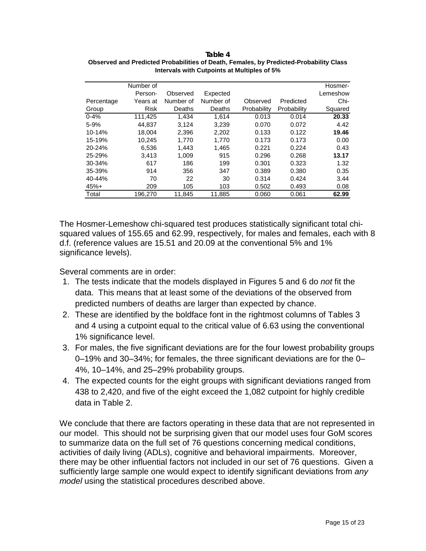|            | Number of   |           |           |             |             | Hosmer-  |
|------------|-------------|-----------|-----------|-------------|-------------|----------|
|            | Person-     | Observed  | Expected  |             |             | Lemeshow |
| Percentage | Years at    | Number of | Number of | Observed    | Predicted   | Chi-     |
| Group      | <b>Risk</b> | Deaths    | Deaths    | Probability | Probability | Squared  |
| $0 - 4%$   | 111,425     | 1.434     | 1.614     | 0.013       | 0.014       | 20.33    |
| $5 - 9%$   | 44.837      | 3.124     | 3,239     | 0.070       | 0.072       | 4.42     |
| 10-14%     | 18.004      | 2,396     | 2,202     | 0.133       | 0.122       | 19.46    |
| 15-19%     | 10.245      | 1.770     | 1.770     | 0.173       | 0.173       | 0.00     |
| 20-24%     | 6,536       | 1,443     | 1,465     | 0.221       | 0.224       | 0.43     |
| 25-29%     | 3.413       | 1.009     | 915       | 0.296       | 0.268       | 13.17    |
| $30 - 34%$ | 617         | 186       | 199       | 0.301       | 0.323       | 1.32     |
| 35-39%     | 914         | 356       | 347       | 0.389       | 0.380       | 0.35     |
| 40-44%     | 70          | 22        | 30        | 0.314       | 0.424       | 3.44     |
| $45%+$     | 209         | 105       | 103       | 0.502       | 0.493       | 0.08     |
| Total      | 196,270     | 11,845    | 11,885    | 0.060       | 0.061       | 62.99    |

**Table 4 Observed and Predicted Probabilities of Death, Females, by Predicted-Probability Class Intervals with Cutpoints at Multiples of 5%**

The Hosmer-Lemeshow chi-squared test produces statistically significant total chisquared values of 155.65 and 62.99, respectively, for males and females, each with 8 d.f. (reference values are 15.51 and 20.09 at the conventional 5% and 1% significance levels).

Several comments are in order:

- 1. The tests indicate that the models displayed in Figures 5 and 6 do *not* fit the data. This means that at least some of the deviations of the observed from predicted numbers of deaths are larger than expected by chance.
- 2. These are identified by the boldface font in the rightmost columns of Tables 3 and 4 using a cutpoint equal to the critical value of 6.63 using the conventional 1% significance level.
- 3. For males, the five significant deviations are for the four lowest probability groups 0–19% and 30–34%; for females, the three significant deviations are for the 0– 4%, 10–14%, and 25–29% probability groups.
- 4. The expected counts for the eight groups with significant deviations ranged from 438 to 2,420, and five of the eight exceed the 1,082 cutpoint for highly credible data in Table 2.

We conclude that there are factors operating in these data that are not represented in our model. This should not be surprising given that our model uses four GoM scores to summarize data on the full set of 76 questions concerning medical conditions, activities of daily living (ADLs), cognitive and behavioral impairments. Moreover, there may be other influential factors not included in our set of 76 questions. Given a sufficiently large sample one would expect to identify significant deviations from *any model* using the statistical procedures described above.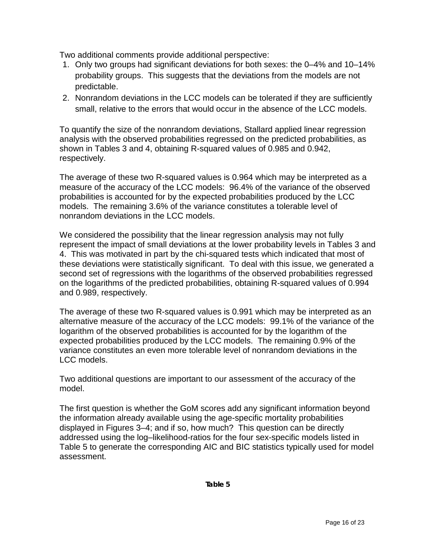Two additional comments provide additional perspective:

- 1. Only two groups had significant deviations for both sexes: the 0–4% and 10–14% probability groups. This suggests that the deviations from the models are not predictable.
- 2. Nonrandom deviations in the LCC models can be tolerated if they are sufficiently small, relative to the errors that would occur in the absence of the LCC models.

To quantify the size of the nonrandom deviations, Stallard applied linear regression analysis with the observed probabilities regressed on the predicted probabilities, as shown in Tables 3 and 4, obtaining R-squared values of 0.985 and 0.942, respectively.

The average of these two R-squared values is 0.964 which may be interpreted as a measure of the accuracy of the LCC models: 96.4% of the variance of the observed probabilities is accounted for by the expected probabilities produced by the LCC models. The remaining 3.6% of the variance constitutes a tolerable level of nonrandom deviations in the LCC models.

We considered the possibility that the linear regression analysis may not fully represent the impact of small deviations at the lower probability levels in Tables 3 and 4. This was motivated in part by the chi-squared tests which indicated that most of these deviations were statistically significant. To deal with this issue, we generated a second set of regressions with the logarithms of the observed probabilities regressed on the logarithms of the predicted probabilities, obtaining R-squared values of 0.994 and 0.989, respectively.

The average of these two R-squared values is 0.991 which may be interpreted as an alternative measure of the accuracy of the LCC models: 99.1% of the variance of the logarithm of the observed probabilities is accounted for by the logarithm of the expected probabilities produced by the LCC models. The remaining 0.9% of the variance constitutes an even more tolerable level of nonrandom deviations in the LCC models.

Two additional questions are important to our assessment of the accuracy of the model.

The first question is whether the GoM scores add any significant information beyond the information already available using the age-specific mortality probabilities displayed in Figures 3–4; and if so, how much? This question can be directly addressed using the log–likelihood-ratios for the four sex-specific models listed in Table 5 to generate the corresponding AIC and BIC statistics typically used for model assessment.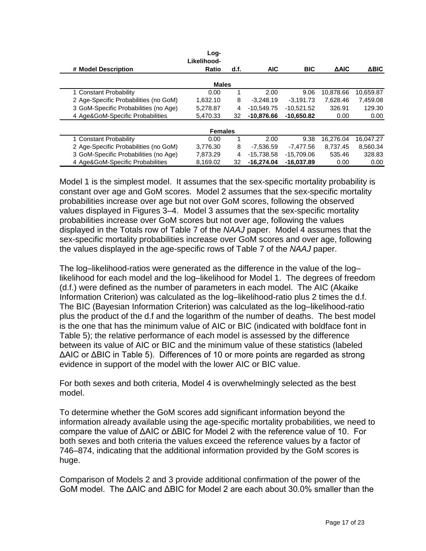|                                       | Log-<br>Likelihood-<br>Ratio | d.f. | <b>AIC</b>   | <b>BIC</b>   | <b>AAIC</b> | <b>ABIC</b> |
|---------------------------------------|------------------------------|------|--------------|--------------|-------------|-------------|
| # Model Description                   |                              |      |              |              |             |             |
|                                       | <b>Males</b>                 |      |              |              |             |             |
| 1 Constant Probability                | 0.00                         |      | 2.00         | 9.06         | 10,878.66   | 10,659.87   |
| 2 Age-Specific Probabilities (no GoM) | 1.632.10                     | 8    | $-3.248.19$  | $-3.191.73$  | 7.628.46    | 7,459.08    |
| 3 GoM-Specific Probabilities (no Age) | 5.278.87                     | 4    | $-10.549.75$ | $-10.521.52$ | 326.91      | 129.30      |
| 4 Age&GoM-Specific Probabilities      | 5.470.33                     | 32   | $-10.876.66$ | $-10.650.82$ | 0.00        | 0.00        |
|                                       | <b>Females</b>               |      |              |              |             |             |
| 1 Constant Probability                | 0.00                         |      | 2.00         | 9.38         | 16.276.04   | 16.047.27   |
| 2 Age-Specific Probabilities (no GoM) | 3.776.30                     | 8    | $-7.536.59$  | -7.477.56    | 8.737.45    | 8,560.34    |
| 3 GoM-Specific Probabilities (no Age) | 7,873.29                     | 4    | $-15.738.58$ | $-15.709.06$ | 535.46      | 328.83      |
| 4 Age&GoM-Specific Probabilities      | 8,169.02                     | 32   | $-16,274.04$ | $-16,037.89$ | 0.00        | 0.00        |

Model 1 is the simplest model. It assumes that the sex-specific mortality probability is constant over age and GoM scores. Model 2 assumes that the sex-specific mortality probabilities increase over age but not over GoM scores, following the observed values displayed in Figures 3–4. Model 3 assumes that the sex-specific mortality probabilities increase over GoM scores but not over age, following the values displayed in the Totals row of Table 7 of the *NAAJ* paper. Model 4 assumes that the sex-specific mortality probabilities increase over GoM scores and over age, following the values displayed in the age-specific rows of Table 7 of the *NAAJ* paper.

The log–likelihood-ratios were generated as the difference in the value of the log– likelihood for each model and the log–likelihood for Model 1. The degrees of freedom (d.f.) were defined as the number of parameters in each model. The AIC (Akaike Information Criterion) was calculated as the log–likelihood-ratio plus 2 times the d.f. The BIC (Bayesian Information Criterion) was calculated as the log–likelihood-ratio plus the product of the d.f and the logarithm of the number of deaths. The best model is the one that has the minimum value of AIC or BIC (indicated with boldface font in Table 5); the relative performance of each model is assessed by the difference between its value of AIC or BIC and the minimum value of these statistics (labeled ΔAIC or ΔBIC in Table 5). Differences of 10 or more points are regarded as strong evidence in support of the model with the lower AIC or BIC value.

For both sexes and both criteria, Model 4 is overwhelmingly selected as the best model.

To determine whether the GoM scores add significant information beyond the information already available using the age-specific mortality probabilities, we need to compare the value of ΔAIC or ΔBIC for Model 2 with the reference value of 10. For both sexes and both criteria the values exceed the reference values by a factor of 746–874, indicating that the additional information provided by the GoM scores is huge.

Comparison of Models 2 and 3 provide additional confirmation of the power of the GoM model. The ΔAIC and ΔBIC for Model 2 are each about 30.0% smaller than the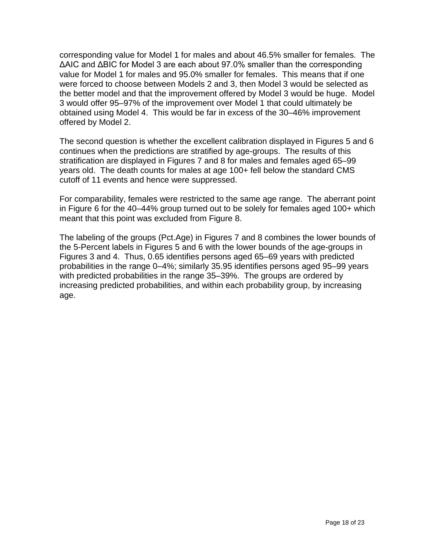corresponding value for Model 1 for males and about 46.5% smaller for females. The ΔAIC and ΔBIC for Model 3 are each about 97.0% smaller than the corresponding value for Model 1 for males and 95.0% smaller for females. This means that if one were forced to choose between Models 2 and 3, then Model 3 would be selected as the better model and that the improvement offered by Model 3 would be huge. Model 3 would offer 95–97% of the improvement over Model 1 that could ultimately be obtained using Model 4. This would be far in excess of the 30–46% improvement offered by Model 2.

The second question is whether the excellent calibration displayed in Figures 5 and 6 continues when the predictions are stratified by age-groups. The results of this stratification are displayed in Figures 7 and 8 for males and females aged 65–99 years old. The death counts for males at age 100+ fell below the standard CMS cutoff of 11 events and hence were suppressed.

For comparability, females were restricted to the same age range. The aberrant point in Figure 6 for the 40–44% group turned out to be solely for females aged 100+ which meant that this point was excluded from Figure 8.

The labeling of the groups (Pct.Age) in Figures 7 and 8 combines the lower bounds of the 5-Percent labels in Figures 5 and 6 with the lower bounds of the age-groups in Figures 3 and 4. Thus, 0.65 identifies persons aged 65–69 years with predicted probabilities in the range 0–4%; similarly 35.95 identifies persons aged 95–99 years with predicted probabilities in the range 35–39%. The groups are ordered by increasing predicted probabilities, and within each probability group, by increasing age.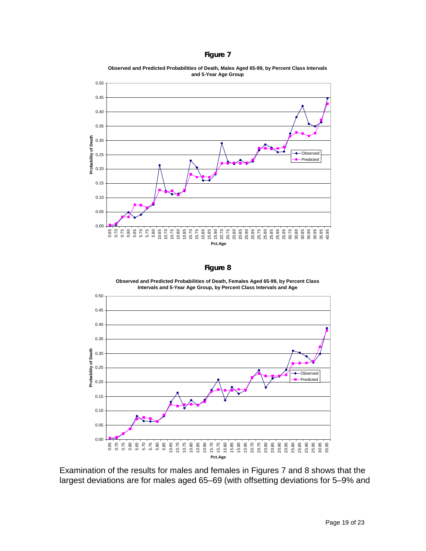| αu<br>Ιr |  |
|----------|--|
|----------|--|



**Observed and Predicted Probabilities of Death, Males Aged 65-99, by Percent Class Intervals and 5-Year Age Group**

**Figure 8**

**Observed and Predicted Probabilities of Death, Females Aged 65-99, by Percent Class Intervals and 5-Year Age Group, by Percent Class Intervals and Age**



Examination of the results for males and females in Figures 7 and 8 shows that the largest deviations are for males aged 65–69 (with offsetting deviations for 5–9% and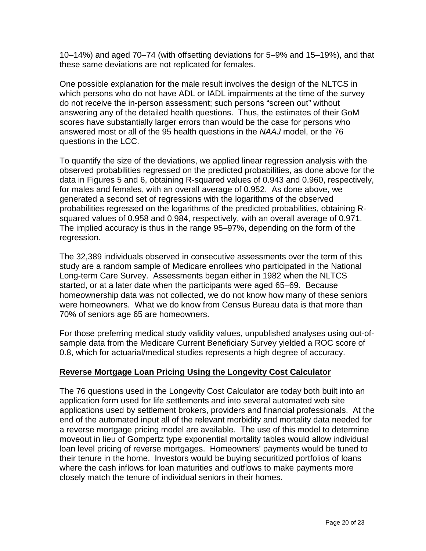10–14%) and aged 70–74 (with offsetting deviations for 5–9% and 15–19%), and that these same deviations are not replicated for females.

One possible explanation for the male result involves the design of the NLTCS in which persons who do not have ADL or IADL impairments at the time of the survey do not receive the in-person assessment; such persons "screen out" without answering any of the detailed health questions. Thus, the estimates of their GoM scores have substantially larger errors than would be the case for persons who answered most or all of the 95 health questions in the *NAAJ* model, or the 76 questions in the LCC.

To quantify the size of the deviations, we applied linear regression analysis with the observed probabilities regressed on the predicted probabilities, as done above for the data in Figures 5 and 6, obtaining R-squared values of 0.943 and 0.960, respectively, for males and females, with an overall average of 0.952. As done above, we generated a second set of regressions with the logarithms of the observed probabilities regressed on the logarithms of the predicted probabilities, obtaining Rsquared values of 0.958 and 0.984, respectively, with an overall average of 0.971. The implied accuracy is thus in the range 95–97%, depending on the form of the regression.

The 32,389 individuals observed in consecutive assessments over the term of this study are a random sample of Medicare enrollees who participated in the National Long-term Care Survey. Assessments began either in 1982 when the NLTCS started, or at a later date when the participants were aged 65–69. Because homeownership data was not collected, we do not know how many of these seniors were homeowners. What we do know from Census Bureau data is that more than 70% of seniors age 65 are homeowners.

For those preferring medical study validity values, unpublished analyses using out-ofsample data from the Medicare Current Beneficiary Survey yielded a ROC score of 0.8, which for actuarial/medical studies represents a high degree of accuracy.

### **Reverse Mortgage Loan Pricing Using the Longevity Cost Calculator**

The 76 questions used in the Longevity Cost Calculator are today both built into an application form used for life settlements and into several automated web site applications used by settlement brokers, providers and financial professionals. At the end of the automated input all of the relevant morbidity and mortality data needed for a reverse mortgage pricing model are available. The use of this model to determine moveout in lieu of Gompertz type exponential mortality tables would allow individual loan level pricing of reverse mortgages. Homeowners' payments would be tuned to their tenure in the home. Investors would be buying securitized portfolios of loans where the cash inflows for loan maturities and outflows to make payments more closely match the tenure of individual seniors in their homes.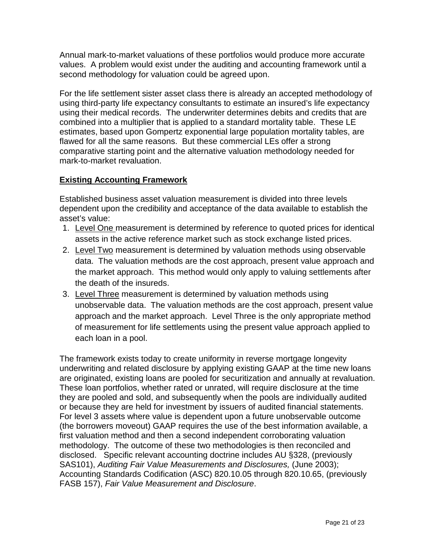Annual mark-to-market valuations of these portfolios would produce more accurate values. A problem would exist under the auditing and accounting framework until a second methodology for valuation could be agreed upon.

For the life settlement sister asset class there is already an accepted methodology of using third-party life expectancy consultants to estimate an insured's life expectancy using their medical records. The underwriter determines debits and credits that are combined into a multiplier that is applied to a standard mortality table. These LE estimates, based upon Gompertz exponential large population mortality tables, are flawed for all the same reasons. But these commercial LEs offer a strong comparative starting point and the alternative valuation methodology needed for mark-to-market revaluation.

# **Existing Accounting Framework**

Established business asset valuation measurement is divided into three levels dependent upon the credibility and acceptance of the data available to establish the asset's value:

- 1. Level One measurement is determined by reference to quoted prices for identical assets in the active reference market such as stock exchange listed prices.
- 2. Level Two measurement is determined by valuation methods using observable data. The valuation methods are the cost approach, present value approach and the market approach. This method would only apply to valuing settlements after the death of the insureds.
- 3. Level Three measurement is determined by valuation methods using unobservable data. The valuation methods are the cost approach, present value approach and the market approach. Level Three is the only appropriate method of measurement for life settlements using the present value approach applied to each loan in a pool.

The framework exists today to create uniformity in reverse mortgage longevity underwriting and related disclosure by applying existing GAAP at the time new loans are originated, existing loans are pooled for securitization and annually at revaluation. These loan portfolios, whether rated or unrated, will require disclosure at the time they are pooled and sold, and subsequently when the pools are individually audited or because they are held for investment by issuers of audited financial statements. For level 3 assets where value is dependent upon a future unobservable outcome (the borrowers moveout) GAAP requires the use of the best information available, a first valuation method and then a second independent corroborating valuation methodology. The outcome of these two methodologies is then reconciled and disclosed. Specific relevant accounting doctrine includes AU §328, (previously SAS101), *Auditing Fair Value Measurements and Disclosures,* (June 2003); Accounting Standards Codification (ASC) 820.10.05 through 820.10.65, (previously FASB 157), *Fair Value Measurement and Disclosure*.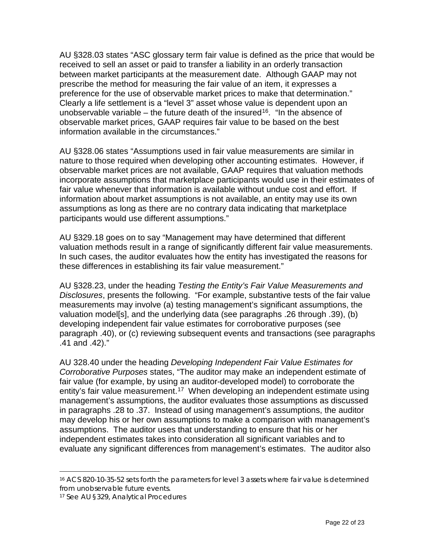AU §328.03 states "ASC glossary term fair value is defined as the price that would be received to sell an asset or paid to transfer a liability in an orderly transaction between market participants at the measurement date. Although GAAP may not prescribe the method for measuring the fair value of an item, it expresses a preference for the use of observable market prices to make that determination." Clearly a life settlement is a "level 3" asset whose value is dependent upon an unobservable variable – the future death of the insured<sup>16</sup>. "In the absence of observable market prices, GAAP requires fair value to be based on the best information available in the circumstances."

AU §328.06 states "Assumptions used in fair value measurements are similar in nature to those required when developing other accounting estimates. However, if observable market prices are not available, GAAP requires that valuation methods incorporate assumptions that marketplace participants would use in their estimates of fair value whenever that information is available without undue cost and effort. If information about market assumptions is not available, an entity may use its own assumptions as long as there are no contrary data indicating that marketplace participants would use different assumptions."

AU §329.18 goes on to say "Management may have determined that different valuation methods result in a range of significantly different fair value measurements. In such cases, the auditor evaluates how the entity has investigated the reasons for these differences in establishing its fair value measurement."

AU §328.23, under the heading *Testing the Entity's Fair Value Measurements and Disclosures*, presents the following. "For example, substantive tests of the fair value measurements may involve (a) testing management's significant assumptions, the valuation model[s], and the underlying data (see paragraphs .26 through .39), (b) developing independent fair value estimates for corroborative purposes (see paragraph .40), or (c) reviewing subsequent events and transactions (see paragraphs .41 and .42)."

AU 328.40 under the heading *Developing Independent Fair Value Estimates for Corroborative Purposes* states, "The auditor may make an independent estimate of fair value (for example, by using an auditor-developed model) to corroborate the entity's fair value measurement.<sup>17</sup> When developing an independent estimate using management's assumptions, the auditor evaluates those assumptions as discussed in paragraphs .28 to .37. Instead of using management's assumptions, the auditor may develop his or her own assumptions to make a comparison with management's assumptions. The auditor uses that understanding to ensure that his or her independent estimates takes into consideration all significant variables and to evaluate any significant differences from management's estimates. The auditor also

<span id="page-21-0"></span> <sup>16</sup> ACS 820-10-35-52 sets forth the parameters for level 3 assets where fair value is determined from unobservable future events.

<span id="page-21-1"></span><sup>17</sup> See AU §329, *Analytical Procedures*